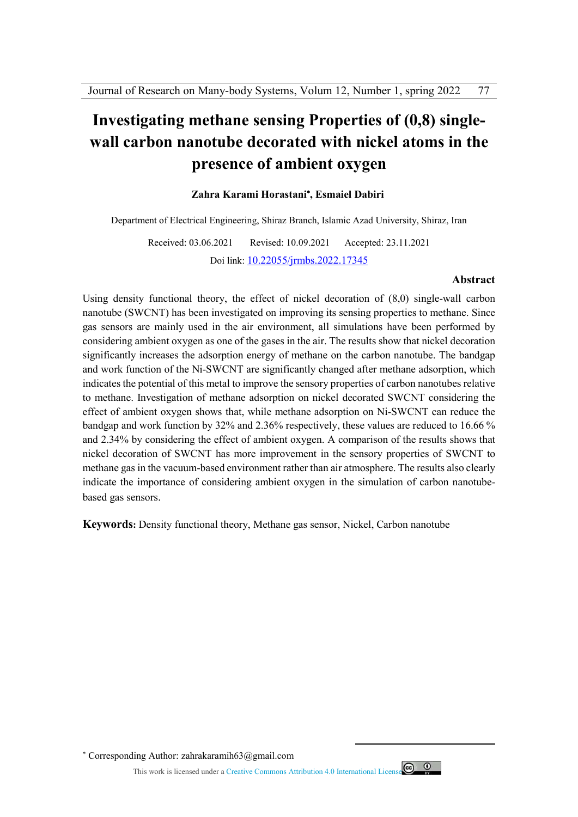# **Investigating methane sensing Properties of (0,8) singlewall carbon nanotube decorated with nickel atoms in the presence of ambient oxygen**

#### **, Esmaiel Dabiri Zahra Karami Horastani**

Department of Electrical Engineering, Shiraz Branch, Islamic Azad University, Shiraz, Iran

Received: 03.06.2021 Revised: 10.09.2021 Accepted: 23.11.2021 Doi link: 10.22055/jrmbs.2022.17345

#### **Abstract**

Using density functional theory, the effect of nickel decoration of (8,0) single-wall carbon nanotube (SWCNT) has been investigated on improving its sensing properties to methane. Since gas sensors are mainly used in the air environment, all simulations have been performed by considering ambient oxygen as one of the gases in the air. The results show that nickel decoration significantly increases the adsorption energy of methane on the carbon nanotube. The bandgap and work function of the Ni-SWCNT are significantly changed after methane adsorption, which indicates the potential of this metal to improve the sensory properties of carbon nanotubes relative to methane. Investigation of methane adsorption on nickel decorated SWCNT considering the effect of ambient oxygen shows that, while methane adsorption on Ni-SWCNT can reduce the bandgap and work function by 32% and 2.36% respectively, these values are reduced to 16.66 % and 2.34% by considering the effect of ambient oxygen. A comparison of the results shows that nickel decoration of SWCNT has more improvement in the sensory properties of SWCNT to methane gas in the vacuum-based environment rather than air atmosphere. The results also clearly indicate the importance of considering ambient oxygen in the simulation of carbon nanotubebased gas sensors.

**Keywords:** Density functional theory, Methane gas sensor, Nickel, Carbon nanotube

Corresponding Author: zahrakaramih63@gmail.com

This work is licensed under a Creative Commons Attribution 4.0 International License



 $\overline{a}$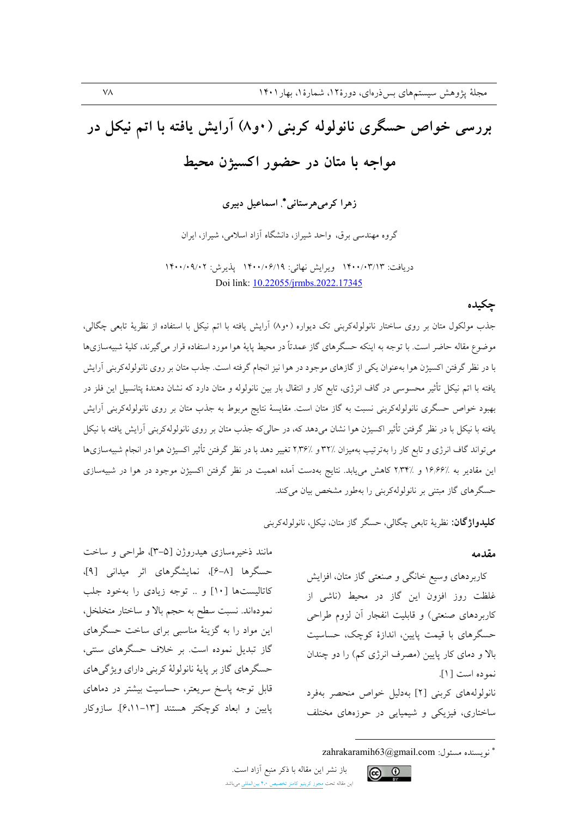# بررسی خواص حسگری نانولوله کربنی (۰و۸) آرایش یافته با اتم نیکل در مواجه با متان در حضور اکسیژن محیط

زهرا کرمی هرستانی\* اسماعیل دبیری

گروه مهندسی برق، واحد شیراز، دانشگاه آزاد اسلامی، شیراز، ایران

دريافت: ١۴٠٠/٠٣/١٣ ويرايش نهائي: ١۴٠٠/٠۶/١٩ يذيرش: ١٣٠٠/٠٩/٠٢ Doi link: 10.22055/jrmbs.2022.17345

#### حكىدە

جذب مولکول متان بر روی ساختار نانولولهکربنی تک دیواره (۰و۸) آرایش یافته با اتم نیکل با استفاده از نظریهٔ تابعی چگالی، موضوع مقاله حاضر است. با توجه به اینکه حسگرهای گاز عمدتاً در محیط پایهٔ هوا مورد استفاده قرار می گیرند، کلیهٔ شبیهسازیها با در نظر گرفتن اکسیژن هوا بهعنوان یکی از گازهای موجود در هوا نیز انجام گرفته است. جذب متان بر روی نانولولهکربنی آرایش یافته با اتم نیکل تأثیر محسوسی در گاف انرژی، تابع کار و انتقال بار بین نانولوله و متان دارد که نشان دهندهٔ پتانسیل این فلز در بهبود خواص حسگری نانولولهکربنی نسبت به گاز متان است. مقایسهٔ نتایج مربوط به جذب متان بر روی نانولولهکربنی آرایش یافته با نیکل با در نظر گرفتن تأثیر اکسیژن هوا نشان میدهد که، در حالیکه جذب متان بر روی نانولولهکربنی آرایش یافته با نیکل میتواند گاف انرژی و تابع کار را بهترتیب بهمیزان ۳۲٪ و ۲٫۳۶٪ تغییر دهد با در نظر گرفتن تأثیر اکسیژن هوا در انجام شبیهسازیها این مقادیر به ٪۱۶٬۶۶ و ٪۲٫۳۴ کاهش می یابد. نتایج بهدست آمده اهمیت در نظر گرفتن اکسیژن موجود در هوا در شبیهسازی حسگرهای گاز مبتنی بر نانولولهکربنی را بهطور مشخص بیان میکند.

باز نشر این مقاله با ذکر منبع آزاد است.

این مقاله تحت مجوز کریتیو کامنز تخصیص ۴٫۰ بینالمللی میباشد

**كليدواژگان**: نظريهٔ تابعي چگالي، حسگر گاز متان، نيكل، نانولولهكربني

#### مقدمه

کاربردهای وسیع خانگی و صنعتی گاز متان، افزایش غلظت روز افزون این گاز در محیط (ناشی از کاربردهای صنعتی) و قابلیت انفجار آن لزوم طراحی حسگرهای با قیمت پایین، اندازهٔ کوچک، حساسیت بالا و دمای کار پایین (مصرف انرژی کم) را دو چندان نموده است [۱]. نانولولههای کربنی [۲] بهدلیل خواص منحصر بهفرد ساختاری، فیزیکی و شیمیایی در حوزههای مختلف

مانند ذخیرهسازی هیدروژن [۵-۳]، طراحی و ساخت حسگرها [٨-۶]، نمایشگرهای اثر میدانی [۹]، كاتاليستها [١٠] و .. توجه زيادي را بهخود جلب نمودهاند. نسبت سطح به حجم بالا و ساختار متخلخل، این مواد را به گزینهٔ مناسبی برای ساخت حسگرهای گاز تبدیل نموده است. بر خلاف حسگرهای سنتی، حسگرهای گاز بر پایهٔ نانولولهٔ کربنی دارای ویژگیهای قابل توجه پاسخ سریعتر، حساسیت بیشتر در دماهای یایین و ابعاد کوچکتر هستند [۱۳–۶،۱۱). سازوکار

تويسنده مسئول: zahrakaramih63@gmail.com

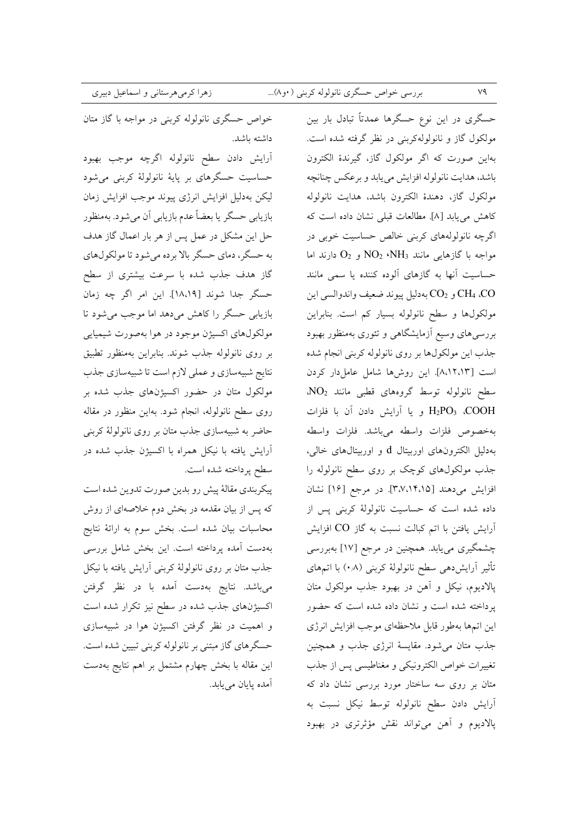خواص حسگری نانولوله کربنی در مواجه با گاز متان داشته باشد.

آرايش دادن سطح نانولوله اگرچه موجب بهبود حساسیت حسگرهای بر پایهٔ نانولولهٔ کربنی میشود ليكن بهدليل افزايش انرژى ييوند موجب افزايش زمان بازیابی حسگر یا بعضاً عدم بازیابی آن میشود. بهمنظور حل این مشکل در عمل پس از هر بار اعمال گاز هدف به حسگر، دمای حسگر بالا برده میشود تا مولکولهای گاز هدف جذب شده با سرعت بیشتری از سطح حسكَر جدا شوند [١٨،١٩]. اين امر اگر چه زمان بازیابی حسگر را کاهش می دهد اما موجب می شود تا مولکولهای اکسیژن موجود در هوا بهصورت شیمیایی بر روى نانولوله جذب شوند. بنابراين بهمنظور تطبيق نتايج شبيهسازي و عملي لازم است تا شبيهسازي جذب مولکول متان در حضور اکسیژنهای جذب شده بر روی سطح نانولوله، انجام شود. بهاین منظور در مقاله حاضر به شبیهسازی جذب متان بر روی نانولولهٔ کربنی آرایش یافته با نیکل همراه با اکسیژن جذب شده در سطح پرداخته شده است.

پیکربندی مقالهٔ پیش رو بدین صورت تدوین شده است که پس از بیان مقدمه در بخش دوم خلاصهای از روش محاسبات بیان شده است. بخش سوم به ارائهٔ نتایج بهدست آمده پرداخته است. این بخش شامل بررسی جذب متان بر روى نانولولة كربنى أرايش يافته با نيكل میباشد. نتایج بهدست آمده با در نظر گرفتن اکسیژنهای جذب شده در سطح نیز تکرار شده است و اهمیت در نظر گرفتن اکسیژن هوا در شبیهسازی حسگرهای گاز مبتنی بر نانولوله کربنی تبیین شده است. این مقاله با بخش چهارم مشتمل بر اهم نتایج بهدست آمده يايان مي يابد.

حسگری در این نوع حسگرها عمدتاً تبادل بار بین مولکول گاز و نانولولهکربنی در نظر گرفته شده است. بهاین صورت که اگر مولکول گاز، گیرندهٔ الکترون باشد، هدايت نانولوله افزايش مى يابد و برعكس چنانچه مولكول گاز، دهندهٔ الكترون باشد، هدايت نانولوله كاهش مى يابد [٨]. مطالعات قبلى نشان داده است كه اگرچه نانولولههای کربنی خالص حساسیت خوبی در مواجه با گازهایی مانند NO2 (NH3 و O2 دارند اما حساسیت آنها به گازهای آلوده کننده یا سم*ی* مانند CH4 ،CO و CO2 بهدليل ييوند ضعيف واندوالسي اين مولکولها و سطح نانولوله بسیار کم است. بنابراین بررسیهای وسیع آزمایشگاهی و تئوری بهمنظور بهبود جذب این مولکولها بر روی نانولوله کربنی انجام شده است [۸،۱۲،۱۳]. این روشها شامل عامل دار کردن سطح نانولوله توسط گروههای قطبی مانند NO2. H<sub>2</sub>PO3 ،COOH و يا آرايش دادن آن با فلزات بهخصوص فلزات واسطه مىباشد. فلزات واسطه بهدلیل الکترونهای اوربیتال d و اوربیتالهای خال<sub>ی</sub>، جذب مولکولهای کوچک بر روی سطح نانولوله را افزايش مىدهند [٣،٧،١۴،١٥]. در مرجع [١۶] نشان داده شده است که حساسیت نانولولهٔ کربنی پس از آرایش یافتن با اتم کبالت نسبت به گاز CO افزایش چشمگیری مییابد. همچنین در مرجع [۱۷] بهبررسی تأثیر آرایشدهی سطح نانولولهٔ کربنی (۰٫۸) با اتمهای پالادیوم، نیکل و آهن در بهبود جذب مولکول متان پرداخته شده است و نشان داده شده است که حضور این اتمها بهطور قابل ملاحظهای موجب افزایش انرژی جذب متان می شود. مقایسهٔ انرژی جذب و همچنین تغييرات خواص الكترونيكي و مغناطيسي پس از جذب متان بر روی سه ساختار مورد بررسی نشان داد که آرایش دادن سطح نانولوله توسط نیکل نسبت به پالادیوم و آهن میتواند نقش مؤثرتری در بهبود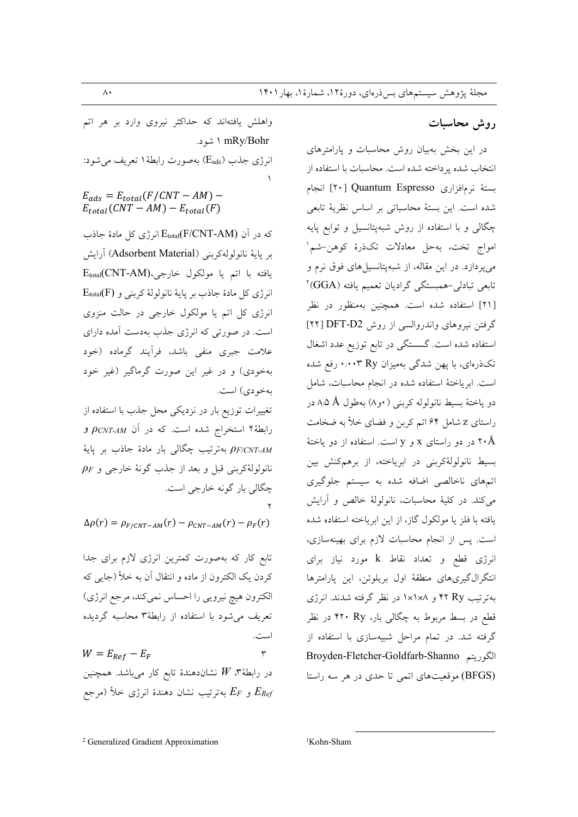## روش محاسىات

در این بخش بهبیان روش محاسبات و پارامترهای انتخاب شده پرداخته شده است. محاسبات با استفاده از بستة نرمافزاري Quantum Espresso [٢٠] انجام شده است. این بستهٔ محاسباتی بر اساس نظریهٔ تابعی چگالی و با استفاده از روش شبهپتانسیل و توابع پایه امواج تخت، بهحل معادلات تکذرهٔ کوهن-شم ٰ میپردازد. در این مقاله، از شبهپتانسیلهای فوق نرم و تابعی تبادلی-همبستگی گرادیان تعمیم یافته (GGA)<sup>۲</sup> [۲۱] استفاده شده است. همچنین بهمنظور در نظر گرفتن نیروهای واندروالسی از روش DFT-D2 [۲۲] استفاده شده است. گسستگی در تابع توزیع عدد اشغال تکذرهای، با پهن شدگی بهمیزان Ry ۰٫۰۰۳ رفع شده است. ابریاختهٔ استفاده شده در انجام محاسبات، شامل دو ياختهٔ بسيط نانولوله كربنى ( •و٨) بهطول A,۵ Å در راستای z شامل ۶۴ اتم کربن و فضای خلأ به ضخامت در دو راستای  ${\rm x}$  و  ${\rm y}$  است. استفاده از دو یاختهٔ  ${\rm A}$ بسيط نانولولهٔكربنى در ابرياخته، از برهمكنش بين اتمهای ناخالصی اضافه شده به سیستم جلوگیری می کند. در کلیهٔ محاسبات، نانولولهٔ خالص و آرایش يافته با فلز يا مولكول گاز، از اين ابرياخته استفاده شده است. پس از انجام محاسبات لازم برای بهینهسازی، انرژی قطع و تعداد نقاط k مورد نیاز برای انتگرالگیریهای منطقهٔ اول بریلوئن، این پارامترها بهترتیب ۴۲ Ry و ۱x۱x۸ در نظر گرفته شدند. انرژی قطع در بسط مربوط به چگالی بار، ۴۲۰ Ry در نظر گرفته شد. در تمام مراحل شبیهسازی با استفاده از الكوريتم Broyden-Fletcher-Goldfarb-Shanno (BFGS) موقعیتهای اتمی تا حدی در هر سه راستا

واهلش یافتهاند که حداکثر نیروی وارد بر هر اتم mRy/Bohr ۱ شود. انرژی جذب (Eads) بهصورت رابطهٔ ۱ تعریف می شود:  $E_{ads} = E_{total}(F/CNT - AM) E_{total}(CNT - AM) - E_{total}(F)$ 

كه در آن (Etotal(F/CNT-AM) انرژى كل مادة جاذب بر ياية نانولوله كربني (Adsorbent Material) آرايش يافته با اتم يا مولكول خارجي،(Etotal(CNT-AM  $E_{total}(F)$  انرژی کل مادهٔ جاذب بر پایهٔ نانولولهٔ کربنی و انرژی کل اتم یا مولکول خارجی در حالت منزوی است. در صورتی که انرژی جذب بهدست آمده دارای علامت جبری منفی باشد، فرأیند گرماده (خود بهخودی) و در غیر این صورت گرماگیر (غیر خود بهخو دی) است.

تغییرات توزیع بار در نزدیکی محل جذب با استفاده از رابطهٔ۲ استخراج شده است. که در آن PCNT-AM و بهترتیب چگالی بار مادهٔ جاذب بر پایهٔ PF/CNT-AM  $\rho_F$  نانولولۀکرېنې قبل و بعد از جذب گونۀ خارجي و چگالي بار گونه خارجي است.

 $\Delta \rho(r) = \rho_{F/CNT-AM}(r) - \rho_{CNT-AM}(r) - \rho_F(r)$ 

تابع کار که بهصورت کمترین انرژی لازم برای جدا كردن يك الكترون از ماده و انتقال آن به خلأ (جايبي كه الكترون هيچ نيرويي را احساس نمي كند، مرجع انرژي) تعریف می شود با استفاده از رابطهٔ۳ محاسبه گردیده است.

 $W = E_{Ref} - E_F$  $\mathbf{\breve{r}}$ در رابطهٔ $W$  نشاندهندهٔ تابع کار میباشد. همچنین و E $_{F}$  بهترتیب نشان دهندهٔ انرژی خلأ (مرجع  $E_{F}$ 

<sup>2</sup> Generalized Gradient Approximation

<sup>1</sup>Kohn-Sham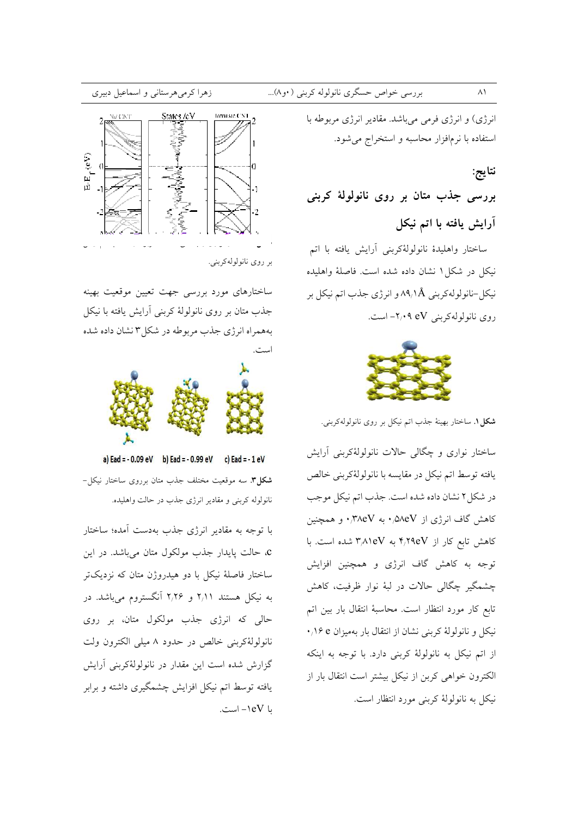انرژی) و انرژی فرمی میباشد. مقادیر انرژی مربوطه با استفاده با نرمافزار محاسبه و استخراج می شود.

نتايج: بررسي جذب متان بر روي نانولولهٔ کربنې آرایش یافته با اتم نیکل

ساختار واهليدهٔ نانولولهٔکربنی آرايش يافته با اتم نيكل در شكل ١ نشان داده شده است. فاصلهٔ واهليده نيکل-نانولولهکرېني ۸۹٫۱Å و انرژي جذب اتم نيکل بر روی نانولولهکربنی A eV+ - است.



شكل ١. ساختار بهينهٔ جذب اتم نيكل بر روى نانولولهكربني.

ساختار نواري و چگالي حالات نانولولۀکربني آرايش يافته توسط اتم نيكل در مقايسه با نانولولةكربني خالص در شکل ۲ نشان داده شده است. جذب اتم نیکل موجب کاهش گاف انرژی از ۵۸eV.۰ به ۰٫۳۸eV و همچنین کاهش تابع کار از ۴٫۲۹eV به ۳٫۸۱eV شده است. با توجه به کاهش گاف انرژی و همچنین افزایش چشمگیر چگالی حالات در لبهٔ نوار ظرفیت، کاهش تابع كار مورد انتظار است. محاسبهٔ انتقال بار بين اتم نیکل و نانولولهٔ کربنی نشان از انتقال بار بهمیزان ۰٫۱۶ e از اتم نیکل به نانولولهٔ کربنی دارد. با توجه به اینکه الكترون خواهي كربن از نيكل بيشتر است انتقال بار از نيکل به نانولولهٔ کربنی مورد انتظار است.



بر روي نانولوله کرېنې.

ساختارهای مورد بررسی جهت تعیین موقعیت بهینه جذب متان بر روی نانولولهٔ کربنی آرایش یافته با نیکل بههمراه انرژی جذب مربوطه در شکل۳ نشان داده شده



a) Ead = - 0.09 eV b) Ead = - 0.99 eV c) Ead = - 1 eV

**شکا ۳**. سه موقعیت مختلف جذب متان برروی ساختار نیکل-نانولوله کربنی و مقادیر انرژی جذب در حالت واهلیده.

با توجه به مقادیر انرژی جذب بهدست آمده؛ ساختار c. حالت پایدار جذب مولکول متان میباشد. در این ساختار فاصلهٔ نیکل با دو هیدروژن متان که نزدیکتر به نیکل هستند ۲٫۱۱ و ۲٫۲۶ آنگستروم میباشد. در حالی که انرژی جذب مولکول متان، بر روی نانولولهٔکربنی خالص در حدود ۸ میلی الکترون ولت گزارش شده است این مقدار در نانولولهٔکربنی آرایش یافته توسط اتم نیکل افزایش چشمگیری داشته و برابر با ۱eV- است.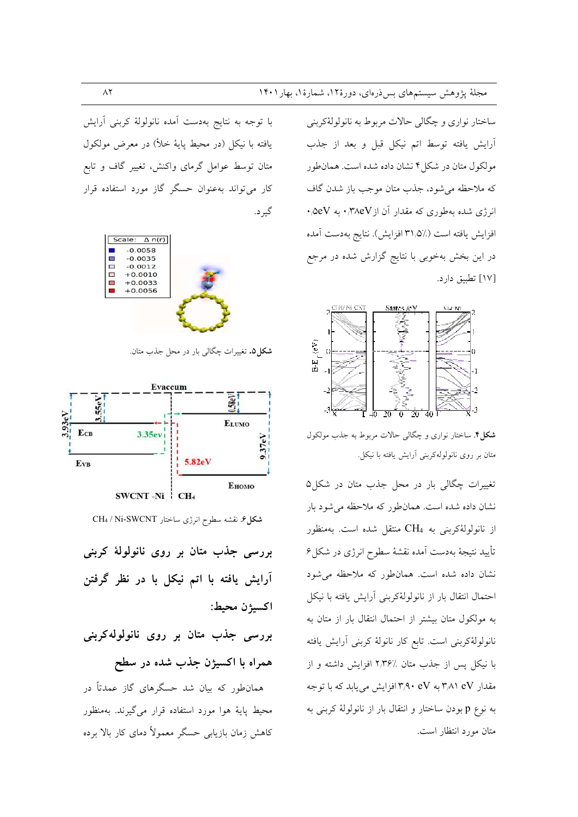ساختار نواري و چگالي حالات مربوط به نانولولۀكربني آرایش یافته توسط اتم نیکل قبل و بعد از جذب مولکول متان در شکل ۴ نشان داده شده است. همان طور كه ملاحظه مي شود، جذب متان موجب باز شدن گاف  $\cdot$ ه انرژی شده بهطوری که مقدار آن از ۳۸eV، به ۵eV، افزايش يافته است (٪۵/ ۳۱ افزايش). نتايج بهدست آمده در این بخش بهخوبی با نتایج گزارش شده در مرجع [۱۷] تطبيق دارد.



**شکل؟** ساختار نواری و چگالی حالات مربوط به جذب مولکول متان بر روی نانولولهکربنی آرایش یافته با نیکل.

تغییرات چگالی بار در محل جذب متان در شکل۵ نشان داده شده است. همانطور که ملاحظه می شود بار از نانولولهٔکربنی به CH4 منتقل شده است. بهمنظور تأييد نتيجهٔ بهدست آمده نقشهٔ سطوح انرژی در شکل ۶ نشان داده شده است. همان طور که ملاحظه می شود احتمال انتقال بار از نانولولهٔکربنی آرایش یافته با نیکل به مولکول متان بیشتر از احتمال انتقال بار از متان به نانولولهٔکربنی است. تابع کار نانولهٔ کربنی آرایش یافته با نیکل پس از جذب متان ٪۲٫۳۶ افزایش داشته و از مقدار ۳٫۸۱ eV به ۳٫۹۰ eV افزایش می یابد که با توجه به نوع p بودن ساختار و انتقال بار از نانولولهٔ کربنی به متان مورد انتظار است.

با توجه به نتايج بهدست آمده نانولولهٔ كربنى آرايش يافته با نيكل (در محيط پايهٔ خلأ) در معرض مولكول متان توسط عوامل گرمای واکنش، تغییر گاف و تابع کار می تواند بهعنوان حسگر گاز مورد استفاده قرار گیر د.



شکل ۵. تغییرات چگالی بار در محل جذب متان.



شكل ۶. نقشه سطوح انرژى ساختار CH4 / Ni-SWCNT

بررسی جذب متان بر روی نانولولهٔ کربنی آرایش یافته با اتم نیکل با در نظر گرفتن اكسيژن محيط:

بررسی جذب متان بر روی نانولولهکربنی همراه با اکسیژن جذب شده در سطح

همانطور که بیان شد حسگرهای گاز عمدتاً در محیط پایهٔ هوا مورد استفاده قرار میگیرند. بهمنظور کاهش زمان بازیابی حسگر معمولاً دمای کار بالا برده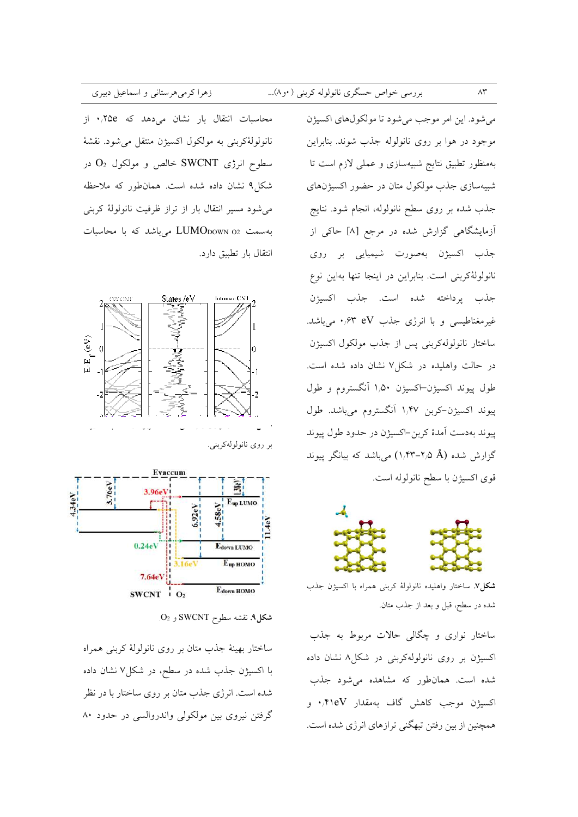محاسبات انتقال بار نشان می دهد که ۰٫۲۵e از نانولولهٔ کربنی به مولکول اکسیژن منتقل میشود. نقشهٔ سطوح انرژی SWCNT خالص و مولکول O2 در شکل۹ نشان داده شده است. همانطور که ملاحظه می شود مسیر انتقال بار از تراز ظرفیت نانولولهٔ کربنی بهسمت LUMO<sub>DOWN 02</sub> میباشد که با محاسبات انتقال بار تطبيق دارد.

زهرا کرمیهرستانی و اسماعیل دبیری







شكل؟. نقشه سطوح SWCNT و O2.

ساختار بهینهٔ جذب متان بر روی نانولولهٔ کربنی همراه با اکسیژن جذب شده در سطح، در شکل۷ نشان داده شده است. انرژی جذب متان بر روی ساختار با در نظر گرفتن نیروی بین مولکولی واندروالسی در حدود ۸۰

مي شود. اين امر موجب مي شود تا مولكولهاي اكسيژن موجود در هوا بر روى نانولوله جذب شوند. بنابراين بهمنظور تطبیق نتایج شبیهسازی و عملی لازم است تا شبیهسازی جذب مولکول متان در حضور اکسیژنهای جذب شده بر روی سطح نانولوله، انجام شود. نتایج آزمایشگاهی گزارش شده در مرجع [۸] حاکی از جذب اکسیژن بهصورت شیمیایی بر روی نانولولهٔکربنی است. بنابراین در اینجا تنها بهاین نوع جذب پرداخته شده است. جذب اكسيژن غیرمغناطیسی و با انرژی جذب eV ۰٫۶۳ میباشد. ساختار نانولولهكربني پس از جذب مولكول اكسيژن در حالت واهلیده در شکل ۷ نشان داده شده است. طول پیوند اکسیژن–اکسیژن ۱٫۵۰ آنگستروم و طول پیوند اکسیژن-کربن ۱٬۴۷ آنگستروم میباشد. طول پیوند بهدست آمدهٔ کربن-اکسیژن در حدود طول پیوند گزارش شده (X,۴۳-۲٫۵ ) میباشد که بیانگر پیوند قوى اكسيژن با سطح نانولوله است.



**شکل۷**. ساختار واهلیده نانولولهٔ کربنی همراه با اکسیژن جذب شده در سطح، قبل و بعد از جذب متان.

ساختار نواری و چگالی حالات مربوط به جذب اکسیژن بر روی نانولولهکربنی در شکل۸ نشان داده شده است. همانطور که مشاهده میشود جذب اکسیژن موجب کاهش گاف بهمقدار ۰٫۴۱eV و همچنین از بین رفتن تبهگنی ترازهای انرژی شده است.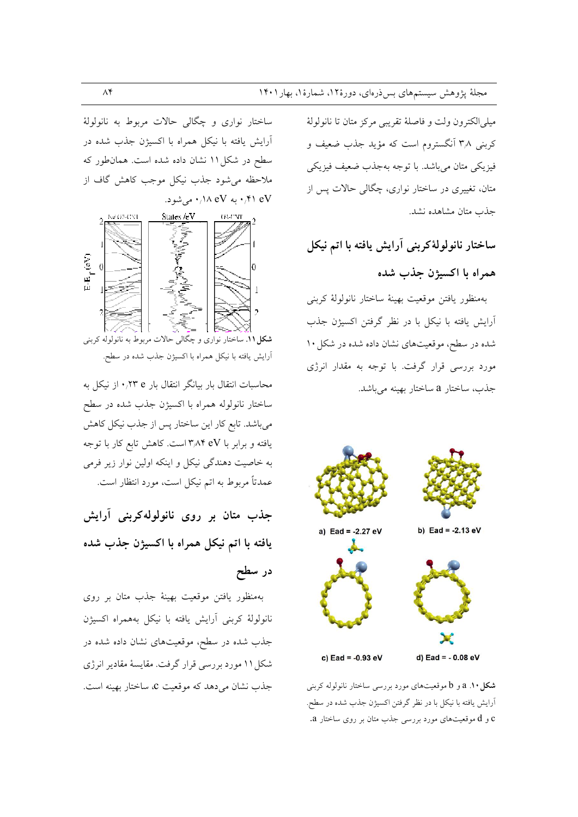ميلي الكترون ولت و فاصلهٔ تقريبي مركز متان تا نانولولهٔ کربنی ۳٫۸ آنگستروم است که مؤید جذب ضعیف و فيزيكي متان مىباشد. با توجه بهجذب ضعيف فيزيكي متان، تغییری در ساختار نواری، چگالی حالات پس از جذب متان مشاهده نشد.

ساختار نانولولهٔکربنی آرایش یافته با اتم نیکل همراه با اکسیژن جذب شده

بهمنظور يافتن موقعيت بهينة ساختار نانولولة كربني آرایش یافته با نیکل با در نظر گرفتن اکسیژن جذب شده در سطح، موقعیتهای نشان داده شده در شکل ۱۰ مورد بررسی قرار گرفت. با توجه به مقدار انرژی جذب، ساختار a ساختار بهينه مي باشد.



**شکل ۱۰.** a و b موقعیتهای مورد بررسی ساختار نانولوله کربنی أرايش يافته با نيكل با در نظر گرفتن اكسيژن جذب شده در سطح. و d موقعیتهای مورد بررسی جذب متان بر روی ساختار a.

ساختار نواري و چگالي حالات مربوط به نانولولهٔ آرایش یافته با نیکل همراه با اکسیژن جذب شده در سطح در شکل ۱۱ نشان داده شده است. همان طور که ملاحظه می شود جذب نیکل موجب کاهش گاف از ۰٫۴۱ eV (۰٫۱۸ eV می شود)



آرایش یافته با نیکل همراه با اکسیژن جذب شده در سطح.

محاسبات انتقال بار بیانگر انتقال بار ۰٫۲۳ e نیکل به ساختار نانولوله همراه با اكسيژن جذب شده در سطح میباشد. تابع کار این ساختار پس از جذب نیکل کاهش یافته و برابر با ۳٫۸۴ eV است. کاهش تابع کار با توجه به خاصیت دهندگی نیکل و اینکه اولین نوار زیر فرمی عمدتاً مربوط به اتم نیکل است، مورد انتظار است.

جذب متان بر روی نانولولهکربنی آرایش يافته با اتم نيكل همراه با اكسيژن جذب شده در سطح

بهمنظور یافتن موقعیت بهینهٔ جذب متان بر روی نانولولهٔ کربنی آرایش یافته با نیکل بههمراه اکسیژن جذب شده در سطح، موقعیتهای نشان داده شده در شکل ۱۱ مورد بررسی قرار گرفت. مقایسهٔ مقادیر انرژی جذب نشان می دهد که موقعیت c، ساختار بهینه است.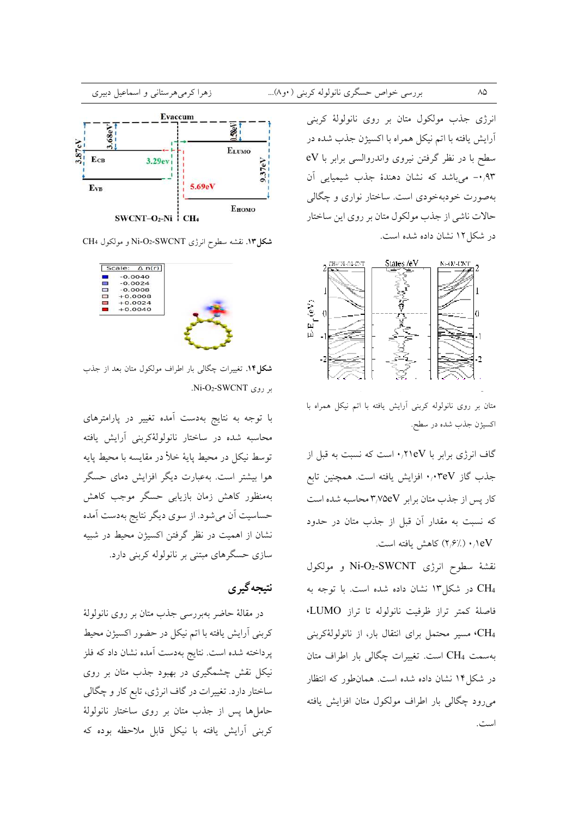انرژی جذب مولکول متان بر روی نانولولهٔ کربنی آرایش یافته با اتم نیکل همراه با اکسیژن جذب شده در سطح با در نظر گرفتن نیروی واندروالسی برابر با eV ٩٣/٠- میباشد که نشان دهندهٔ جذب شیمیایی آن بهصورت خودبهخودی است. ساختار نواری و چگالی حالات ناشی از جذب مولکول متان بر روی این ساختار در شکل ۱۲ نشان داده شده است.



متان بر روی نانولوله کربنی آرایش یافته با اتم نیکل همراه با اكسيژن جذب شده در سطح.

گاف انرژی برابر با ۰٫۲۱eV است که نسبت به قبل از جذب گاز ۰٬۰۳eV افزایش یافته است. همچنین تابع کار پس از جذب متان برابر ۳٫۷۵eV محاسبه شده است که نسبت به مقدار آن قبل از جذب متان در حدود eV/ ۱۰/۱eV/ كاهش يافته است.

نقشهٔ سطوح انرژی Ni-O2-SWCNT و مولکول CH4 در شکار ۱۳ نشان داده شده است. با توجه به فاصلهٔ کمتر تراز ظرفیت نانولوله تا تراز LUMO، ،CH مسیر محتمل برای انتقال بار، از نانولولهٔکربنی بهسمت CH4 است. تغییرات چگالی بار اطراف متان در شکل۱۴ نشان داده شده است. همان $\det$ ور که انتظار می رود چگالی بار اطراف مولکول متان افزایش یافته است.



شکل ۱۳. نقشه سطوح انرژی Ni-O2-SWCNT و مولکول CH4



شکل ۱۴. تغییرات چگالی بار اطراف مولکول متان بعد از جذب  $Ni-O<sub>2</sub>-SWCNT$  .

با توجه به نتایج بهدست آمده تغییر در پارامترهای محاسبه شده در ساختار نانولولهٔکربنی آرایش یافته توسط نيكل در محيط پايهٔ خلأ در مقايسه با محيط پايه هوا بیشتر است. بهعبارت دیگر افزایش دمای حسگر بهمنظور كاهش زمان بازيابي حسگر موجب كاهش حساسیت آن میشود. از سوی دیگر نتایج بهدست آمده نشان از اهمیت در نظر گرفتن اکسیژن محیط در شبیه سازی حسگرهای مبتنی بر نانولوله کربنی دارد.

# نتيجه گير ي

در مقالهٔ حاضر بهبررسی جذب متان بر روی نانولولهٔ كربني أرايش يافته با اتم نيكل در حضور اكسيژن محيط پرداخته شده است. نتایج بهدست آمده نشان داد که فلز نیکل نقش چشمگیری در بهبود جذب متان بر روی ساختار دارد. تغییرات در گاف انرژی، تابع کار و چگالی حاملها پس از جذب متان بر روی ساختار نانولولهٔ كربني أرايش يافته با نيكل قابل ملاحظه بوده كه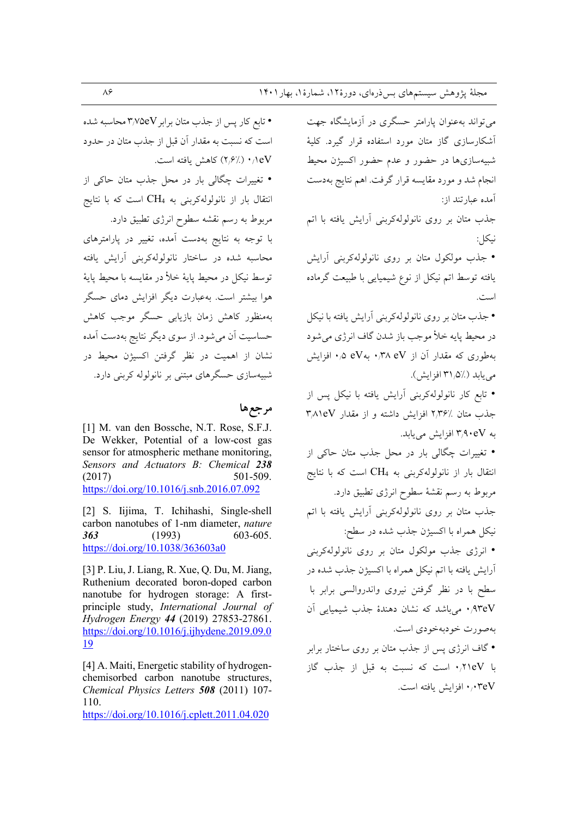می تواند بهعنوان پارامتر حسگری در آزمایشگاه جهت أشكارسازي گاز متان مورد استفاده قرار گيرد. كليهٔ شبیهسازیها در حضور و عدم حضور اکسیژن محیط انجام شد و مورد مقایسه قرار گرفت. اهم نتایج بهدست آمده عبارتند از:

جذب متان بر روی نانولولهکربنی آرایش یافته با اتم نيكل:

• جذب مولکول متان بر روی نانولولهکربنی آرایش یافته توسط اتم نیکل از نوع شیمیایی با طبیعت گرماده است

• جذب متان بر روى نانولولهكربني أرايش يافته با نيكل در محيط پايه خلأ موجب باز شدن گاف انرژي مي شود بهطوری که مقدار آن از ۰٫۳۸ وV م.۰ افزایش می یابد (٪۵/ ۳۱ افز ایش).

• تابع کار نانولولهکربنی آرایش یافته با نیکل پس از جذب متان ٪۲٬۳۶ افزایش داشته و از مقدار ۳٬۸۱eV به ۳٬۹۰eV افزایش می یابد.

• تغییرات چگالی بار در محل جذب متان حاکی از انتقال بار از نانولولهکربنی به CH4 است که با نتایج مربوط به رسم نقشهٔ سطوح انرژی تطبیق دارد. جذب متان بر روی نانولولهکربنی آرایش یافته با اتم نيكل همراه با اكسيژن جذب شده در سطح: • انرژی جذب مولکول متان بر روی نانولولهکربنی آرایش یافته با اتم نیکل همراه با اکسیژن جذب شده در سطح با در نظر گرفتن نیروی واندروالسی برابر با ۰٫۹۳eV می باشد که نشان دهندهٔ جذب شیمیایی آن بهصورت خودبهخودي است.

• گاف انرژی پس از جذب متان بر روی ساختار برابر با ١٣١٥٧، است كه نسبت به قبل از جذب گاز ۰٫۰۳eV افزایش یافته است.

• تابع کار پس از جذب متان برابر ۳٬۷۵eV محاسبه شده است که نسبت به مقدار آن قبل از جذب متان در حدود eV/ (//۶٪) كاهش يافته است. • تغییرات چگالی بار در محل جذب متان حاکی از انتقال بار از نانولولهکربنی به CH4 است که با نتایج

مربوط به رسم نقشه سطوح انرژی تطبیق دارد. با توجه به نتایج بهدست آمده، تغییر در پارامترهای محاسبه شده در ساختار نانولولهکربنی آرایش یافته توسط نيكل در محيط يايهٔ خلأ در مقايسه با محيط يايهٔ هوا بیشتر است. بهعبارت دیگر افزایش دمای حسگر بهمنظور كاهش زمان بازيابي حسگر موجب كاهش حساسیت اَن می شود. از سوی دیگر نتایج بهدست اَمده .<br>نشان از اهمیت در نظر گرفتن اکسیژن محیط در شبیهسازی حسگرهای مبتنی بر نانولوله کربنی دارد.

## مرجعها

[1] M. van den Bossche, N.T. Rose, S.F.J. De Wekker, Potential of a low-cost gas sensor for atmospheric methane monitoring. Sensors and Actuators B: Chemical 238  $(2017)$ 501-509. https://doi.org/10.1016/j.snb.2016.07.092

[2] S. Iijima, T. Ichihashi, Single-shell carbon nanotubes of 1-nm diameter, nature 603-605.  $(1993)$ 363 https://doi.org/10.1038/363603a0

[3] P. Liu, J. Liang, R. Xue, Q. Du, M. Jiang, Ruthenium decorated boron-doped carbon nanotube for hydrogen storage: A firstprinciple study, International Journal of Hydrogen Energy 44 (2019) 27853-27861. https://doi.org/10.1016/j.ijhydene.2019.09.0 **19** 

[4] A. Maiti, Energetic stability of hydrogenchemisorbed carbon nanotube structures. Chemical Physics Letters 508 (2011) 107-110.

https://doi.org/10.1016/j.cplett.2011.04.020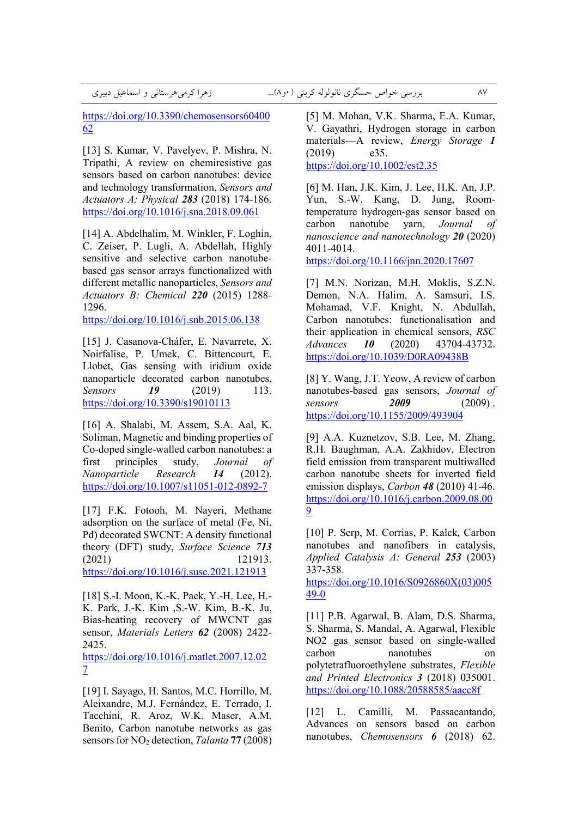+ U] <3+<+, +& 0 8(... ) <\*+, -.:.:33 +BC e:M <+ 87

https://doi.org/10.3390/chemosensors60400 62

[13] S. Kumar, V. Pavelyev, P. Mishra, N. Tripathi, A review on сhemiresistive gas sensors based on carbon nanotubes: device and technology transformation, *Sensors and Actuators A: Physical 283* (2018) 174-186. https://doi.org/10.1016/j.sna.2018.09.061

[14] A. Abdelhalim, M. Winkler, F. Loghin, C. Zeiser, P. Lugli, A. Abdellah, Highly sensitive and selective carbon nanotubebased gas sensor arrays functionalized with different metallic nanoparticles, *Sensors and Actuators B: Chemical 220* (2015) 1288- 1296.

https://doi.org/10.1016/j.snb.2015.06.138

[15] J. Casanova-Cháfer, E. Navarrete, X. Noirfalise, P. Umek, C. Bittencourt, E. Llobet, Gas sensing with iridium oxide nanoparticle decorated carbon nanotubes, *Sensors 19* (2019) 113. https://doi.org/10.3390/s19010113

[16] A. Shalabi, M. Assem, S.A. Aal, K. Soliman, Magnetic and binding properties of Co-doped single-walled carbon nanotubes: a first principles study, *Journal of Nanoparticle Research 14* (2012). https://doi.org/10.1007/s11051-012-0892-7

[17] F.K. Fotooh, M. Nayeri, Methane adsorption on the surface of metal (Fe, Ni, Pd) decorated SWCNT: A density functional theory (DFT) study, *Surface Science 713* (2021) 121913. https://doi.org/10.1016/j.susc.2021.121913

[18] S.-I. Moon, K.-K. Paek, Y.-H. Lee, H.- K. Park, J.-K. Kim ,S.-W. Kim, B.-K. Ju, Bias-heating recovery of MWCNT gas sensor, *Materials Letters 62* (2008) 2422- 2425.

https://doi.org/10.1016/j.matlet.2007.12.02 7

[19] I. Sayago, H. Santos, M.C. Horrillo, M. Aleixandre, M.J. Fernández, E. Terrado, I. Tacchini, R. Aroz, W.K. Maser, A.M. Benito, Carbon nanotube networks as gas sensors for NO2 detection, *Talanta* **77** (2008)

[5] M. Mohan, V.K. Sharma, E.A. Kumar, V. Gayathri, Hydrogen storage in carbon materials—A review, *Energy Storage 1* (2019) e35. https://doi.org/10.1002/est2.35

[6] M. Han, J.K. Kim, J. Lee, H.K. An, J.P. Yun, S.-W. Kang, D. Jung, Roomtemperature hydrogen-gas sensor based on carbon nanotube yarn, *Journal of nanoscience and nanotechnology 20* (2020) 4011-4014.

https://doi.org/10.1166/jnn.2020.17607

[7] M.N. Norizan, M.H. Moklis, S.Z.N. Demon, N.A. Halim, A. Samsuri, I.S. Mohamad, V.F. Knight, N. Abdullah, Carbon nanotubes: functionalisation and their application in chemical sensors, *RSC Advances 10* (2020) 43704-43732. https://doi.org/10.1039/D0RA09438B

[8] Y. Wang, J.T. Yeow, A review of carbon nanotubes-based gas sensors, *Journal of sensors 2009* (2009) . https://doi.org/10.1155/2009/493904

[9] A.A. Kuznetzov, S.B. Lee, M. Zhang, R.H. Baughman, A.A. Zakhidov, Electron field emission from transparent multiwalled carbon nanotube sheets for inverted field emission displays, *Carbon 48* (2010) 41-46. https://doi.org/10.1016/j.carbon.2009.08.00 9

[10] P. Serp, M. Corrias, P. Kalck, Carbon nanotubes and nanofibers in catalysis, *Applied Catalysis A: General 253* (2003) 337-358.

https://doi.org/10.1016/S0926860X(03)005 49-0

[11] P.B. Agarwal, B. Alam, D.S. Sharma, S. Sharma, S. Mandal, A. Agarwal, Flexible NO2 gas sensor based on single-walled carbon nanotubes on polytetrafluoroethylene substrates, *Flexible and Printed Electronics 3* (2018) 035001. https://doi.org/10.1088/20588585/aacc8f

[12] L. Camilli, M. Passacantando, Advances on sensors based on carbon nanotubes, *Chemosensors 6* (2018) 62.